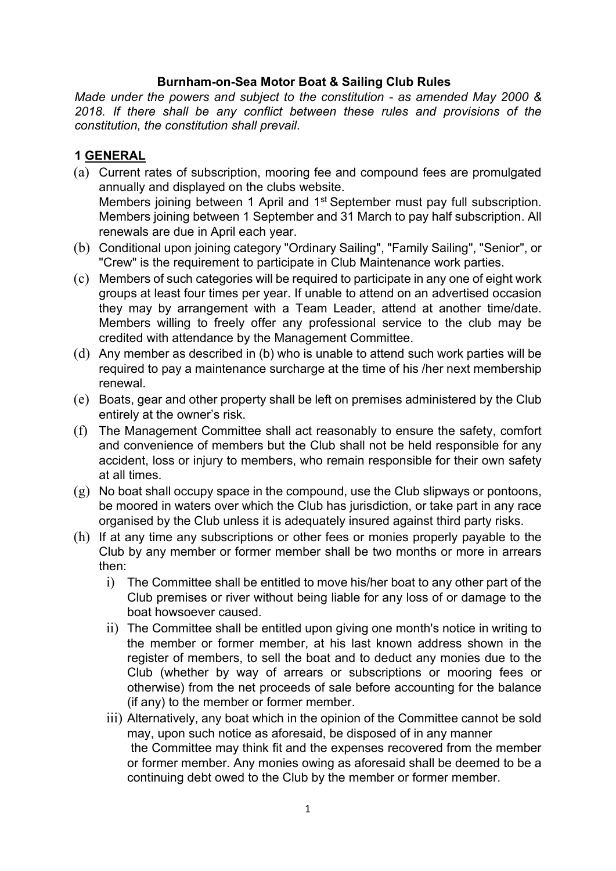#### Burnham-on-Sea Motor Boat & Sailing Club Rules

Made under the powers and subject to the constitution - as amended May 2000 & 2018. If there shall be any conflict between these rules and provisions of the constitution, the constitution shall prevail.

### 1 GENERAL

- (a) Current rates of subscription, mooring fee and compound fees are promulgated annually and displayed on the clubs website. Members joining between 1 April and 1<sup>st</sup> September must pay full subscription. Members joining between 1 September and 31 March to pay half subscription. All renewals are due in April each year.
- (b) Conditional upon joining category "Ordinary Sailing", "Family Sailing", "Senior", or "Crew" is the requirement to participate in Club Maintenance work parties.
- (c) Members of such categories will be required to participate in any one of eight work groups at least four times per year. If unable to attend on an advertised occasion they may by arrangement with a Team Leader, attend at another time/date. Members willing to freely offer any professional service to the club may be credited with attendance by the Management Committee.
- (d) Any member as described in (b) who is unable to attend such work parties will be required to pay a maintenance surcharge at the time of his /her next membership renewal.
- (e) Boats, gear and other property shall be left on premises administered by the Club entirely at the owner's risk.
- (f) The Management Committee shall act reasonably to ensure the safety, comfort and convenience of members but the Club shall not be held responsible for any accident, loss or injury to members, who remain responsible for their own safety at all times.
- $(g)$  No boat shall occupy space in the compound, use the Club slipways or pontoons, be moored in waters over which the Club has jurisdiction, or take part in any race organised by the Club unless it is adequately insured against third party risks.
- (h) If at any time any subscriptions or other fees or monies properly payable to the Club by any member or former member shall be two months or more in arrears then:
	- i) The Committee shall be entitled to move his/her boat to any other part of the Club premises or river without being liable for any loss of or damage to the boat howsoever caused.
	- ii) The Committee shall be entitled upon giving one month's notice in writing to the member or former member, at his last known address shown in the register of members, to sell the boat and to deduct any monies due to the Club (whether by way of arrears or subscriptions or mooring fees or otherwise) from the net proceeds of sale before accounting for the balance (if any) to the member or former member.
	- iii) Alternatively, any boat which in the opinion of the Committee cannot be sold may, upon such notice as aforesaid, be disposed of in any manner the Committee may think fit and the expenses recovered from the member or former member. Any monies owing as aforesaid shall be deemed to be a continuing debt owed to the Club by the member or former member.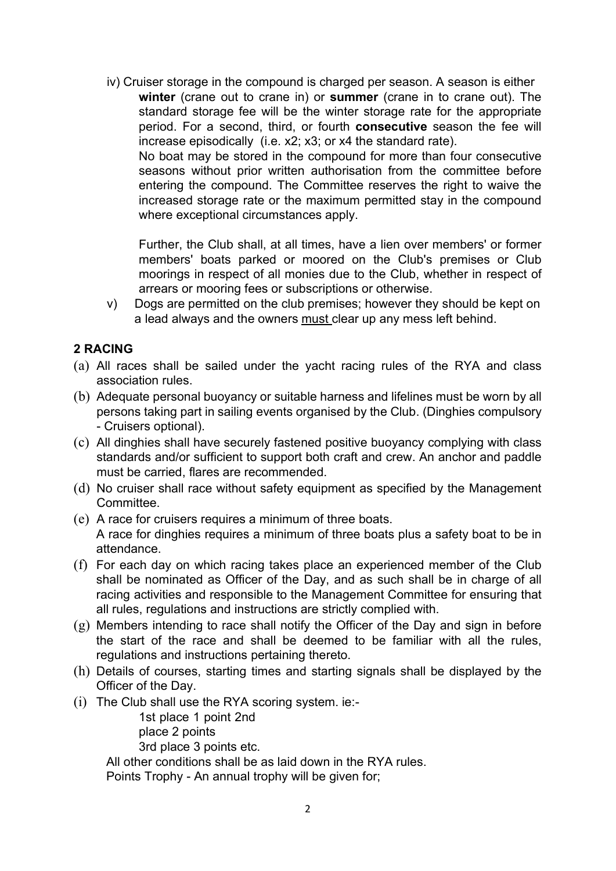iv) Cruiser storage in the compound is charged per season. A season is either winter (crane out to crane in) or summer (crane in to crane out). The standard storage fee will be the winter storage rate for the appropriate period. For a second, third, or fourth consecutive season the fee will increase episodically (i.e. x2; x3; or x4 the standard rate). No boat may be stored in the compound for more than four consecutive seasons without prior written authorisation from the committee before entering the compound. The Committee reserves the right to waive the increased storage rate or the maximum permitted stay in the compound where exceptional circumstances apply.

Further, the Club shall, at all times, have a lien over members' or former members' boats parked or moored on the Club's premises or Club moorings in respect of all monies due to the Club, whether in respect of arrears or mooring fees or subscriptions or otherwise.

v) Dogs are permitted on the club premises; however they should be kept on a lead always and the owners must clear up any mess left behind.

#### 2 RACING

- (a) All races shall be sailed under the yacht racing rules of the RYA and class association rules.
- (b) Adequate personal buoyancy or suitable harness and lifelines must be worn by all persons taking part in sailing events organised by the Club. (Dinghies compulsory - Cruisers optional).
- (c) All dinghies shall have securely fastened positive buoyancy complying with class standards and/or sufficient to support both craft and crew. An anchor and paddle must be carried, flares are recommended.
- (d) No cruiser shall race without safety equipment as specified by the Management Committee.
- (e) A race for cruisers requires a minimum of three boats. A race for dinghies requires a minimum of three boats plus a safety boat to be in attendance.
- (f) For each day on which racing takes place an experienced member of the Club shall be nominated as Officer of the Day, and as such shall be in charge of all racing activities and responsible to the Management Committee for ensuring that all rules, regulations and instructions are strictly complied with.
- (g) Members intending to race shall notify the Officer of the Day and sign in before the start of the race and shall be deemed to be familiar with all the rules, regulations and instructions pertaining thereto.
- (h) Details of courses, starting times and starting signals shall be displayed by the Officer of the Day.
- (i) The Club shall use the RYA scoring system. ie:-

1st place 1 point 2nd place 2 points

3rd place 3 points etc.

All other conditions shall be as laid down in the RYA rules.

Points Trophy - An annual trophy will be given for;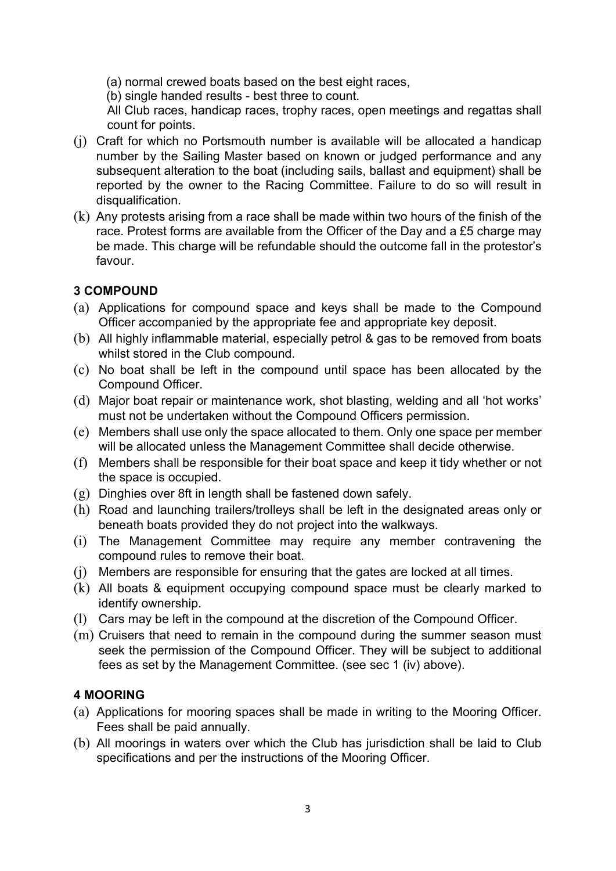(a) normal crewed boats based on the best eight races,

(b) single handed results - best three to count.

All Club races, handicap races, trophy races, open meetings and regattas shall count for points.

- (j) Craft for which no Portsmouth number is available will be allocated a handicap number by the Sailing Master based on known or judged performance and any subsequent alteration to the boat (including sails, ballast and equipment) shall be reported by the owner to the Racing Committee. Failure to do so will result in disqualification.
- (k) Any protests arising from a race shall be made within two hours of the finish of the race. Protest forms are available from the Officer of the Day and a £5 charge may be made. This charge will be refundable should the outcome fall in the protestor's favour.

# 3 COMPOUND

- (a) Applications for compound space and keys shall be made to the Compound Officer accompanied by the appropriate fee and appropriate key deposit.
- (b) All highly inflammable material, especially petrol & gas to be removed from boats whilst stored in the Club compound.
- (c) No boat shall be left in the compound until space has been allocated by the Compound Officer.
- (d) Major boat repair or maintenance work, shot blasting, welding and all 'hot works' must not be undertaken without the Compound Officers permission.
- (e) Members shall use only the space allocated to them. Only one space per member will be allocated unless the Management Committee shall decide otherwise.
- (f) Members shall be responsible for their boat space and keep it tidy whether or not the space is occupied.
- (g) Dinghies over 8ft in length shall be fastened down safely.
- (h) Road and launching trailers/trolleys shall be left in the designated areas only or beneath boats provided they do not project into the walkways.
- (i) The Management Committee may require any member contravening the compound rules to remove their boat.
- (j) Members are responsible for ensuring that the gates are locked at all times.
- (k) All boats & equipment occupying compound space must be clearly marked to identify ownership.
- (l) Cars may be left in the compound at the discretion of the Compound Officer.
- (m) Cruisers that need to remain in the compound during the summer season must seek the permission of the Compound Officer. They will be subject to additional fees as set by the Management Committee. (see sec 1 (iv) above).

### 4 MOORING

- (a) Applications for mooring spaces shall be made in writing to the Mooring Officer. Fees shall be paid annually.
- (b) All moorings in waters over which the Club has jurisdiction shall be laid to Club specifications and per the instructions of the Mooring Officer.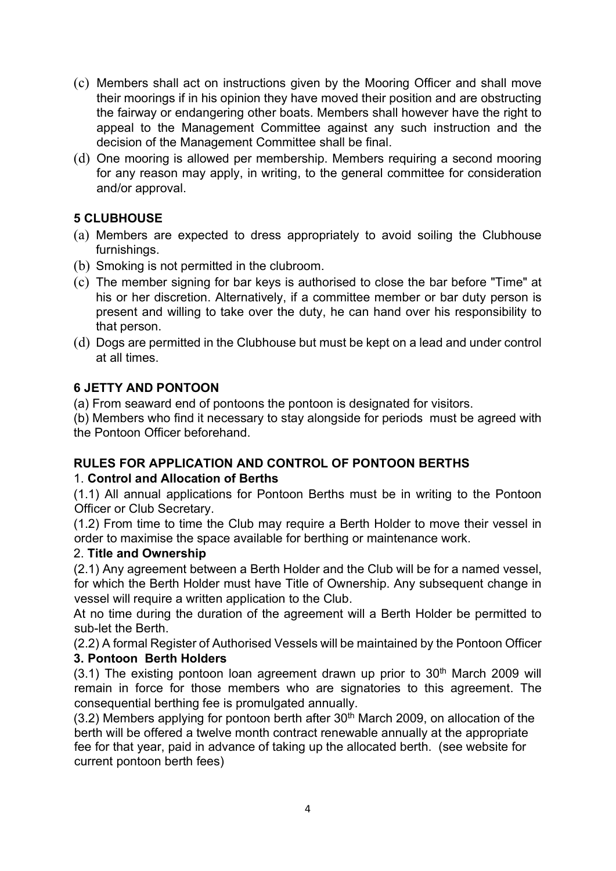- (c) Members shall act on instructions given by the Mooring Officer and shall move their moorings if in his opinion they have moved their position and are obstructing the fairway or endangering other boats. Members shall however have the right to appeal to the Management Committee against any such instruction and the decision of the Management Committee shall be final.
- (d) One mooring is allowed per membership. Members requiring a second mooring for any reason may apply, in writing, to the general committee for consideration and/or approval.

# 5 CLUBHOUSE

- (a) Members are expected to dress appropriately to avoid soiling the Clubhouse furnishings.
- (b) Smoking is not permitted in the clubroom.
- (c) The member signing for bar keys is authorised to close the bar before "Time" at his or her discretion. Alternatively, if a committee member or bar duty person is present and willing to take over the duty, he can hand over his responsibility to that person.
- (d) Dogs are permitted in the Clubhouse but must be kept on a lead and under control at all times.

# 6 JETTY AND PONTOON

(a) From seaward end of pontoons the pontoon is designated for visitors.

(b) Members who find it necessary to stay alongside for periods must be agreed with the Pontoon Officer beforehand.

# RULES FOR APPLICATION AND CONTROL OF PONTOON BERTHS

# 1. Control and Allocation of Berths

(1.1) All annual applications for Pontoon Berths must be in writing to the Pontoon Officer or Club Secretary.

(1.2) From time to time the Club may require a Berth Holder to move their vessel in order to maximise the space available for berthing or maintenance work.

### 2. Title and Ownership

(2.1) Any agreement between a Berth Holder and the Club will be for a named vessel, for which the Berth Holder must have Title of Ownership. Any subsequent change in vessel will require a written application to the Club.

At no time during the duration of the agreement will a Berth Holder be permitted to sub-let the Berth.

(2.2) A formal Register of Authorised Vessels will be maintained by the Pontoon Officer 3. Pontoon Berth Holders

 $(3.1)$  The existing pontoon loan agreement drawn up prior to  $30<sup>th</sup>$  March 2009 will remain in force for those members who are signatories to this agreement. The consequential berthing fee is promulgated annually.

 $(3.2)$  Members applying for pontoon berth after  $30<sup>th</sup>$  March 2009, on allocation of the berth will be offered a twelve month contract renewable annually at the appropriate fee for that year, paid in advance of taking up the allocated berth. (see website for current pontoon berth fees)